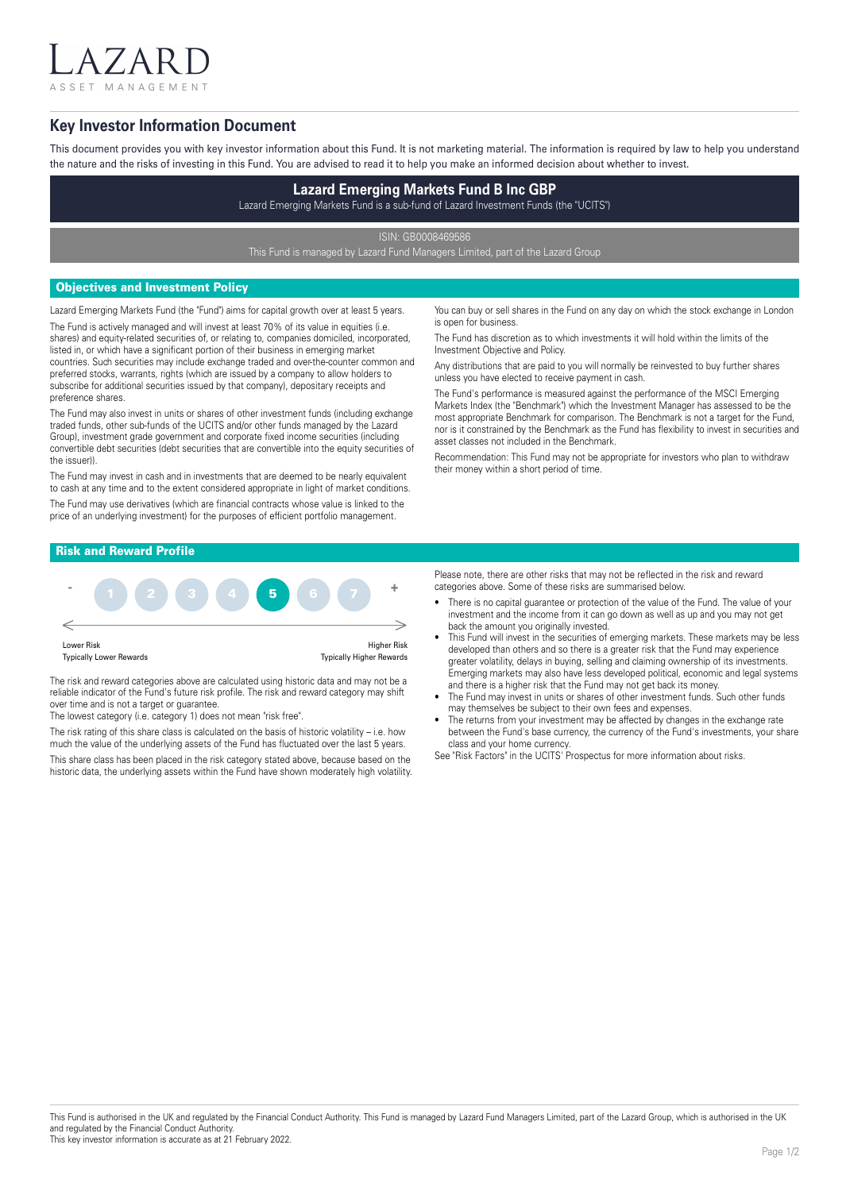ASSET MANAGEMENT

 $7$  A I

## **Key Investor Information Document**

This document provides you with key investor information about this Fund. It is not marketing material. The information is required by law to help you understand the nature and the risks of investing in this Fund. You are advised to read it to help you make an informed decision about whether to invest.

# **Lazard Emerging Markets Fund B Inc GBP**

Lazard Emerging Markets Fund is a sub-fund of Lazard Investment Funds (the "UCITS")

ISIN: GB0008469586

This Fund is managed by Lazard Fund Managers Limited, part of the Lazard Group

## Objectives and Investment Policy

Lazard Emerging Markets Fund (the "Fund") aims for capital growth over at least 5 years. The Fund is actively managed and will invest at least 70% of its value in equities (i.e. shares) and equity-related securities of, or relating to, companies domiciled, incorporated, listed in, or which have a significant portion of their business in emerging market countries. Such securities may include exchange traded and over-the-counter common and preferred stocks, warrants, rights (which are issued by a company to allow holders to subscribe for additional securities issued by that company), depositary receipts and

preference shares. The Fund may also invest in units or shares of other investment funds (including exchange traded funds, other sub-funds of the UCITS and/or other funds managed by the Lazard Group), investment grade government and corporate fixed income securities (including convertible debt securities (debt securities that are convertible into the equity securities of the issuer)).

The Fund may invest in cash and in investments that are deemed to be nearly equivalent to cash at any time and to the extent considered appropriate in light of market conditions. The Fund may use derivatives (which are financial contracts whose value is linked to the price of an underlying investment) for the purposes of efficient portfolio management.

You can buy or sell shares in the Fund on any day on which the stock exchange in London is open for business.

The Fund has discretion as to which investments it will hold within the limits of the Investment Objective and Policy.

Any distributions that are paid to you will normally be reinvested to buy further shares unless you have elected to receive payment in cash.

The Fund's performance is measured against the performance of the MSCI Emerging Markets Index (the "Benchmark") which the Investment Manager has assessed to be the most appropriate Benchmark for comparison. The Benchmark is not a target for the Fund, nor is it constrained by the Benchmark as the Fund has flexibility to invest in securities and asset classes not included in the Benchmark.

Recommendation: This Fund may not be appropriate for investors who plan to withdraw their money within a short period of time.

## Risk and Reward Profile



The risk and reward categories above are calculated using historic data and may not be a reliable indicator of the Fund's future risk profile. The risk and reward category may shift over time and is not a target or guarantee.

The lowest category (i.e. category 1) does not mean "risk free".

The risk rating of this share class is calculated on the basis of historic volatility – i.e. how much the value of the underlying assets of the Fund has fluctuated over the last 5 years.

This share class has been placed in the risk category stated above, because based on the historic data, the underlying assets within the Fund have shown moderately high volatility. Please note, there are other risks that may not be reflected in the risk and reward categories above. Some of these risks are summarised below.

- There is no capital guarantee or protection of the value of the Fund. The value of your investment and the income from it can go down as well as up and you may not get back the amount you originally invested.
- This Fund will invest in the securities of emerging markets. These markets may be less developed than others and so there is a greater risk that the Fund may experience greater volatility, delays in buying, selling and claiming ownership of its investments. Emerging markets may also have less developed political, economic and legal systems and there is a higher risk that the Fund may not get back its money.
- The Fund may invest in units or shares of other investment funds. Such other funds may themselves be subject to their own fees and expenses.
- The returns from your investment may be affected by changes in the exchange rate between the Fund's base currency, the currency of the Fund's investments, your share class and your home currency.

See "Risk Factors" in the UCITS' Prospectus for more information about risks.